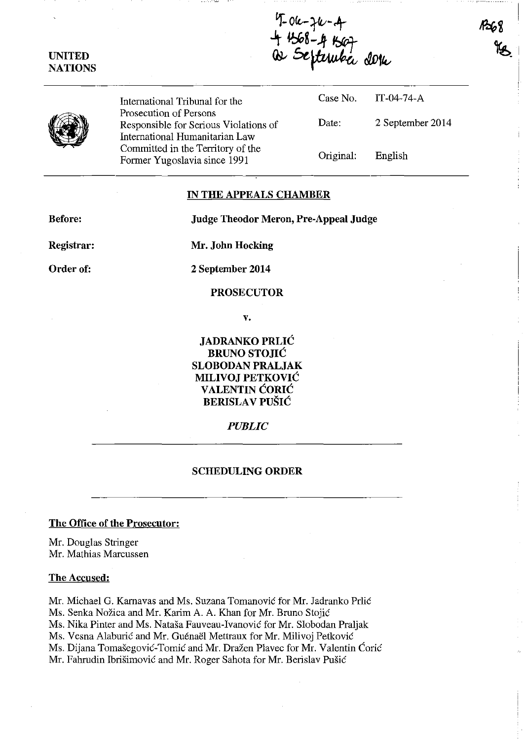7-06-76-4<br>4 4568-4 4507<br>Qs Sefteruba dora

•

**UNITED NATIONS** 

> International Tribunal for the Prosecution of Persons Responsible for Serious Violations of International Humanitarian Law Committed in the Territory of the Former Yugoslavia since 1991

|           | Case No. IT-04-74-A |
|-----------|---------------------|
| Date:     | 2 September 2014    |
| Original: | English             |

#### **IN THE APPEALS CHAMBER**

**Before: Judge Theodor Meron, Pre-Appeal Judge** 

**Registrar:** 

**Mr. John Hocking** 

**Order of:** 

**2 September 2014** 

## **PROSECUTOR**

**v.** 

**JADRANKO PRLIĆ BRUNO STOJIC SLOBODAN PRALJAK MILIVOJ PETKOVIC VALENTIN CORIC BERISLAV PUŠIĆ** 

## *PUBLIC*

## **SCHEDULING ORDER**

# **The Office of the Prosecutor:**

**Mr.** Douglas Stringer **Mr.** Mathias Marcussen

#### **The Accused:**

Mr. Michael G. Kamavas and Ms. Suzana Tomanovic for Mr. Iadranko Pdic Ms. Senka Nožica and Mr. Karim A. A. Khan for Mr. Bruno Stojić Ms. Nika Pinter and Ms. Natasa Fauveau-Ivanovic for **Mr.** Slobodan Praljak Ms. Vesna Alaburić and Mr. Guénaël Mettraux for Mr. Milivoj Petković Ms. Dijana Tomašegović-Tomić and Mr. Dražen Plavec for Mr. Valentin Ćorić Mr. Fahrudin Ibrisimovic and Mr. Roger Sahota for Mr. Berislav Pusic